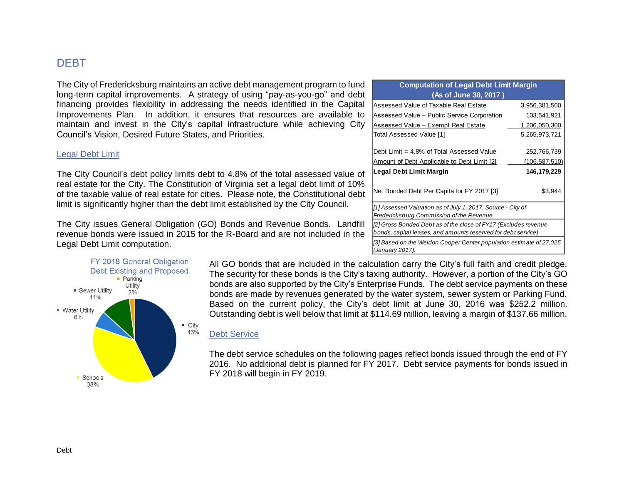# DEBT

The City of Fredericksburg maintains an active debt management program to fund long-term capital improvements. A strategy of using "pay-as-you-go" and debt financing provides flexibility in addressing the needs identified in the Capital Improvements Plan. In addition, it ensures that resources are available to maintain and invest in the City's capital infrastructure while achieving City Council's Vision, Desired Future States, and Priorities.

## Legal Debt Limit

The City Council's debt policy limits debt to 4.8% of the total assessed value of real estate for the City. The Constitution of Virginia set a legal debt limit of 10% of the taxable value of real estate for cities. Please note, the Constitutional debt limit is significantly higher than the debt limit established by the City Council.

The City issues General Obligation (GO) Bonds and Revenue Bonds. Landfill revenue bonds were issued in 2015 for the R-Board and are not included in the Legal Debt Limit computation.



| <b>Computation of Legal Debt Limit Margin</b>                                                                                    |               |  |  |  |  |  |  |  |
|----------------------------------------------------------------------------------------------------------------------------------|---------------|--|--|--|--|--|--|--|
| (As of June 30, 2017)                                                                                                            |               |  |  |  |  |  |  |  |
| Assessed Value of Taxable Real Estate                                                                                            | 3,956,381,500 |  |  |  |  |  |  |  |
| Assessed Value - Public Service Corporation                                                                                      | 103,541,921   |  |  |  |  |  |  |  |
| <b>Assessed Value - Exempt Real Estate</b>                                                                                       | 1,206,050,300 |  |  |  |  |  |  |  |
| Total Assessed Value [1]                                                                                                         | 5,265,973,721 |  |  |  |  |  |  |  |
| Debt Limit = 4.8% of Total Assessed Value                                                                                        | 252,766,739   |  |  |  |  |  |  |  |
| <u>Amount of Debt Applicable to Debt Limit [2]</u>                                                                               | (106,587,510) |  |  |  |  |  |  |  |
| Legal Debt Limit Margin                                                                                                          | 146,179,229   |  |  |  |  |  |  |  |
| Net Bonded Debt Per Capita for FY 2017 [3]                                                                                       | \$3,944       |  |  |  |  |  |  |  |
| [1] Assessed Valuation as of July 1, 2017, Source - City of<br>Fredericksburg Commission of the Revenue                          |               |  |  |  |  |  |  |  |
| [2] Gross Bonded Debt as of the close of FY17 (Excludes revenue<br>bonds, capital leases, and amounts reserved for debt service) |               |  |  |  |  |  |  |  |
| [3] Based on the Weldon Cooper Center population estimate of 27,025<br>(January 2017).                                           |               |  |  |  |  |  |  |  |

All GO bonds that are included in the calculation carry the City's full faith and credit pledge. The security for these bonds is the City's taxing authority. However, a portion of the City's GO bonds are also supported by the City's Enterprise Funds. The debt service payments on these bonds are made by revenues generated by the water system, sewer system or Parking Fund. Based on the current policy, the City's debt limit at June 30, 2016 was \$252.2 million. Outstanding debt is well below that limit at \$114.69 million, leaving a margin of \$137.66 million.

## Debt Service

The debt service schedules on the following pages reflect bonds issued through the end of FY 2016. No additional debt is planned for FY 2017. Debt service payments for bonds issued in FY 2018 will begin in FY 2019.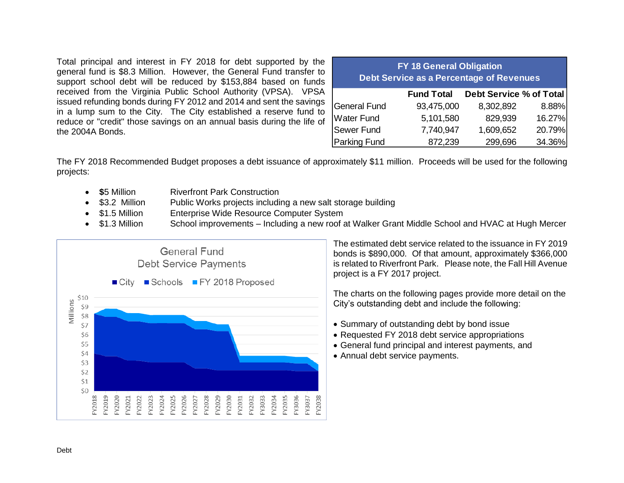Total principal and interest in FY 2018 for debt supported by the general fund is \$8.3 Million. However, the General Fund transfer to support school debt will be reduced by \$153,884 based on funds received from the Virginia Public School Authority (VPSA). VPSA issued refunding bonds during FY 2012 and 2014 and sent the savings in a lump sum to the City. The City established a reserve fund to reduce or "credit" those savings on an annual basis during the life of the 2004A Bonds.

| <b>FY 18 General Obligation</b><br><b>Debt Service as a Percentage of Revenues</b> |                   |                         |        |  |  |  |  |  |  |  |  |  |  |
|------------------------------------------------------------------------------------|-------------------|-------------------------|--------|--|--|--|--|--|--|--|--|--|--|
|                                                                                    | <b>Fund Total</b> | Debt Service % of Total |        |  |  |  |  |  |  |  |  |  |  |
| General Fund                                                                       | 93,475,000        | 8,302,892               | 8.88%  |  |  |  |  |  |  |  |  |  |  |
| Water Fund                                                                         | 5,101,580         | 829,939                 | 16.27% |  |  |  |  |  |  |  |  |  |  |
| Sewer Fund                                                                         | 7,740,947         | 1,609,652               | 20.79% |  |  |  |  |  |  |  |  |  |  |
| Parking Fund                                                                       | 872,239           | 299,696                 | 34.36% |  |  |  |  |  |  |  |  |  |  |

The FY 2018 Recommended Budget proposes a debt issuance of approximately \$11 million. Proceeds will be used for the following projects:

- **\$5 Million Riverfront Park Construction**
- \$3.2 Million Public Works projects including a new salt storage building
- \$1.5 Million Enterprise Wide Resource Computer System
- \$1.3 Million School improvements Including a new roof at Walker Grant Middle School and HVAC at Hugh Mercer



The estimated debt service related to the issuance in FY 2019 bonds is \$890,000. Of that amount, approximately \$366,000 is related to Riverfront Park. Please note, the Fall Hill Avenue project is a FY 2017 project.

The charts on the following pages provide more detail on the City's outstanding debt and include the following:

- Summary of outstanding debt by bond issue
- Requested FY 2018 debt service appropriations
- General fund principal and interest payments, and
- Annual debt service payments.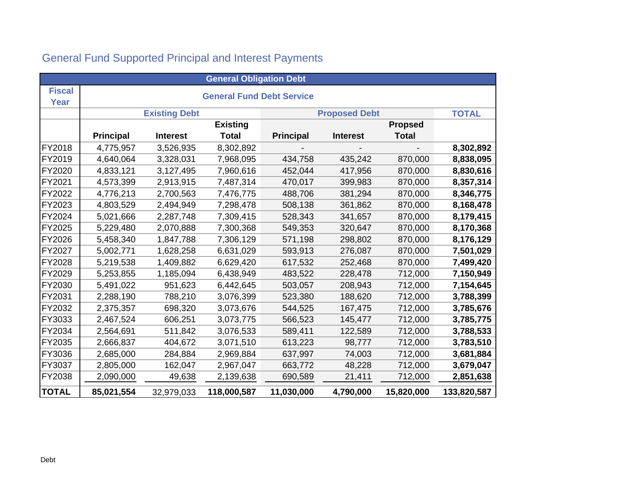| <b>General Obligation Debt</b> |                  |                      |                                  |                      |                 |                |             |  |  |  |  |  |  |
|--------------------------------|------------------|----------------------|----------------------------------|----------------------|-----------------|----------------|-------------|--|--|--|--|--|--|
| <b>Fiscal</b>                  |                  |                      | <b>General Fund Debt Service</b> |                      |                 |                |             |  |  |  |  |  |  |
| <b>Year</b>                    |                  |                      |                                  |                      |                 |                |             |  |  |  |  |  |  |
|                                |                  | <b>Existing Debt</b> |                                  | <b>Proposed Debt</b> | <b>TOTAL</b>    |                |             |  |  |  |  |  |  |
|                                |                  |                      | <b>Existing</b>                  |                      |                 | <b>Propsed</b> |             |  |  |  |  |  |  |
|                                | <b>Principal</b> | <b>Interest</b>      | <b>Total</b>                     | <b>Principal</b>     | <b>Interest</b> | <b>Total</b>   |             |  |  |  |  |  |  |
| <b>FY2018</b>                  | 4,775,957        | 3,526,935            | 8,302,892                        |                      |                 |                | 8,302,892   |  |  |  |  |  |  |
| FY2019                         | 4,640,064        | 3,328,031            | 7,968,095                        | 434,758              | 435,242         | 870,000        | 8,838,095   |  |  |  |  |  |  |
| FY2020                         | 4,833,121        | 3,127,495            | 7,960,616                        | 452,044              | 417,956         | 870,000        | 8,830,616   |  |  |  |  |  |  |
| FY2021                         | 4,573,399        | 2,913,915            | 7,487,314                        | 470,017              | 399,983         | 870,000        | 8,357,314   |  |  |  |  |  |  |
| FY2022                         | 4,776,213        | 2,700,563            | 7,476,775                        | 488,706              | 381,294         | 870,000        | 8,346,775   |  |  |  |  |  |  |
| <b>FY2023</b>                  | 4,803,529        | 2,494,949            | 7,298,478                        | 508,138              | 361,862         | 870,000        | 8,168,478   |  |  |  |  |  |  |
| <b>FY2024</b>                  | 5,021,666        | 2,287,748            | 7,309,415                        | 528,343              | 341,657         | 870,000        | 8,179,415   |  |  |  |  |  |  |
| <b>FY2025</b>                  | 5,229,480        | 2,070,888            | 7,300,368                        | 549,353              | 320,647         | 870,000        | 8,170,368   |  |  |  |  |  |  |
| <b>FY2026</b>                  | 5,458,340        | 1,847,788            | 7,306,129                        | 571,198              | 298,802         | 870,000        | 8,176,129   |  |  |  |  |  |  |
| <b>FY2027</b>                  | 5,002,771        | 1,628,258            | 6,631,029                        | 593,913              | 276,087         | 870,000        | 7,501,029   |  |  |  |  |  |  |
| <b>FY2028</b>                  | 5,219,538        | 1,409,882            | 6,629,420                        | 617,532              | 252,468         | 870,000        | 7,499,420   |  |  |  |  |  |  |
| <b>FY2029</b>                  | 5,253,855        | 1,185,094            | 6,438,949                        | 483,522              | 228,478         | 712,000        | 7,150,949   |  |  |  |  |  |  |
| <b>FY2030</b>                  | 5,491,022        | 951,623              | 6,442,645                        | 503,057              | 208,943         | 712,000        | 7,154,645   |  |  |  |  |  |  |
| <b>FY2031</b>                  | 2,288,190        | 788,210              | 3,076,399                        | 523,380              | 188,620         | 712,000        | 3,788,399   |  |  |  |  |  |  |
| <b>FY2032</b>                  | 2,375,357        | 698,320              | 3,073,676                        | 544,525              | 167,475         | 712,000        | 3,785,676   |  |  |  |  |  |  |
| <b>FY3033</b>                  | 2,467,524        | 606,251              | 3,073,775                        | 566,523              | 145,477         | 712,000        | 3,785,775   |  |  |  |  |  |  |
| <b>FY2034</b>                  | 2,564,691        | 511,842              | 3,076,533                        | 589,411              | 122,589         | 712,000        | 3,788,533   |  |  |  |  |  |  |
| <b>FY2035</b>                  | 2,666,837        | 404,672              | 3,071,510                        | 613,223              | 98,777          | 712,000        | 3,783,510   |  |  |  |  |  |  |
| <b>FY3036</b>                  | 2,685,000        | 284,884              | 2,969,884                        | 637,997              | 74,003          | 712,000        | 3,681,884   |  |  |  |  |  |  |
| <b>FY3037</b>                  | 2,805,000        | 162,047              | 2,967,047                        | 663,772              | 48,228          | 712,000        | 3,679,047   |  |  |  |  |  |  |
| FY2038                         | 2,090,000        | 49,638               | 2,139,638                        | 690,589              | 21,411          | 712,000        | 2,851,638   |  |  |  |  |  |  |
| <b>TOTAL</b>                   | 85,021,554       | 32,979,033           | 118,000,587                      | 11,030,000           | 4,790,000       | 15,820,000     | 133,820,587 |  |  |  |  |  |  |

# General Fund Supported Principal and Interest Payments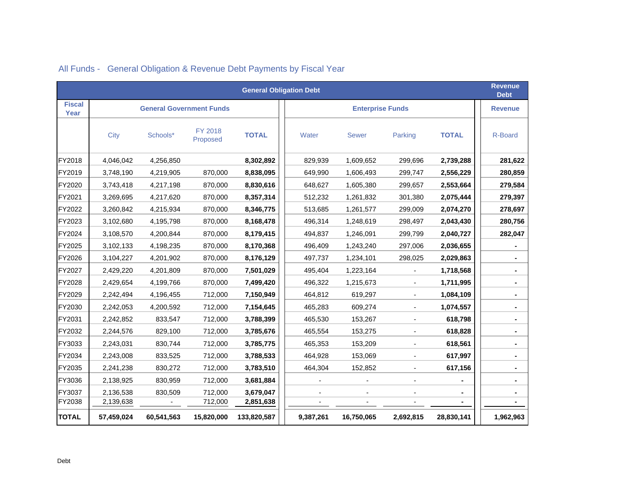| <b>General Obligation Debt</b> |            |                                 |                     |              |                         |              |                          |              |                |  |  |  |  |  |
|--------------------------------|------------|---------------------------------|---------------------|--------------|-------------------------|--------------|--------------------------|--------------|----------------|--|--|--|--|--|
| <b>Fiscal</b><br>Year          |            | <b>General Government Funds</b> |                     |              | <b>Enterprise Funds</b> |              |                          |              |                |  |  |  |  |  |
|                                | City       | Schools*                        | FY 2018<br>Proposed | <b>TOTAL</b> | Water                   | <b>Sewer</b> | Parking                  | <b>TOTAL</b> | R-Board        |  |  |  |  |  |
| FY2018                         | 4,046,042  | 4,256,850                       |                     | 8,302,892    | 829,939                 | 1,609,652    | 299,696                  | 2,739,288    | 281,622        |  |  |  |  |  |
| FY2019                         | 3,748,190  | 4,219,905                       | 870,000             | 8,838,095    | 649,990                 | 1,606,493    | 299,747                  | 2,556,229    | 280,859        |  |  |  |  |  |
| FY2020                         | 3,743,418  | 4,217,198                       | 870,000             | 8,830,616    | 648,627                 | 1,605,380    | 299,657                  | 2,553,664    | 279,584        |  |  |  |  |  |
| FY2021                         | 3,269,695  | 4,217,620                       | 870,000             | 8,357,314    | 512,232                 | 1,261,832    | 301,380                  | 2,075,444    | 279,397        |  |  |  |  |  |
| FY2022                         | 3,260,842  | 4,215,934                       | 870,000             | 8,346,775    | 513,685                 | 1,261,577    | 299,009                  | 2,074,270    | 278,697        |  |  |  |  |  |
| FY2023                         | 3,102,680  | 4,195,798                       | 870,000             | 8,168,478    | 496,314                 | 1,248,619    | 298,497                  | 2,043,430    | 280,756        |  |  |  |  |  |
| FY2024                         | 3,108,570  | 4,200,844                       | 870,000             | 8,179,415    | 494,837                 | 1,246,091    | 299,799                  | 2,040,727    | 282,047        |  |  |  |  |  |
| FY2025                         | 3,102,133  | 4,198,235                       | 870,000             | 8,170,368    | 496,409                 | 1,243,240    | 297,006                  | 2,036,655    | $\blacksquare$ |  |  |  |  |  |
| FY2026                         | 3,104,227  | 4,201,902                       | 870,000             | 8,176,129    | 497,737                 | 1,234,101    | 298,025                  | 2,029,863    |                |  |  |  |  |  |
| FY2027                         | 2,429,220  | 4,201,809                       | 870,000             | 7,501,029    | 495,404                 | 1,223,164    | $\overline{\phantom{a}}$ | 1,718,568    |                |  |  |  |  |  |
| FY2028                         | 2,429,654  | 4,199,766                       | 870,000             | 7,499,420    | 496,322                 | 1,215,673    | $\blacksquare$           | 1,711,995    | $\blacksquare$ |  |  |  |  |  |
| FY2029                         | 2,242,494  | 4,196,455                       | 712,000             | 7,150,949    | 464,812                 | 619,297      | $\overline{\phantom{a}}$ | 1,084,109    | $\blacksquare$ |  |  |  |  |  |
| FY2030                         | 2,242,053  | 4,200,592                       | 712,000             | 7,154,645    | 465,283                 | 609,274      | $\overline{\phantom{a}}$ | 1,074,557    |                |  |  |  |  |  |
| FY2031                         | 2,242,852  | 833,547                         | 712,000             | 3,788,399    | 465,530                 | 153,267      |                          | 618,798      | $\blacksquare$ |  |  |  |  |  |
| FY2032                         | 2,244,576  | 829,100                         | 712,000             | 3,785,676    | 465,554                 | 153,275      | $\overline{\phantom{a}}$ | 618,828      | $\blacksquare$ |  |  |  |  |  |
| FY3033                         | 2,243,031  | 830,744                         | 712,000             | 3,785,775    | 465,353                 | 153,209      | $\overline{a}$           | 618,561      |                |  |  |  |  |  |
| FY2034                         | 2,243,008  | 833,525                         | 712,000             | 3,788,533    | 464,928                 | 153,069      |                          | 617,997      |                |  |  |  |  |  |
| FY2035                         | 2,241,238  | 830,272                         | 712,000             | 3,783,510    | 464,304                 | 152,852      | $\overline{\phantom{a}}$ | 617,156      | $\blacksquare$ |  |  |  |  |  |
| FY3036                         | 2,138,925  | 830,959                         | 712,000             | 3,681,884    |                         |              | $\blacksquare$           |              |                |  |  |  |  |  |
| FY3037                         | 2,136,538  | 830,509                         | 712,000             | 3,679,047    |                         |              |                          |              |                |  |  |  |  |  |
| FY2038                         | 2,139,638  |                                 | 712,000             | 2,851,638    |                         |              |                          |              |                |  |  |  |  |  |
| <b>TOTAL</b>                   | 57,459,024 | 60,541,563                      | 15,820,000          | 133,820,587  | 9,387,261               | 16,750,065   | 2,692,815                | 28,830,141   | 1,962,963      |  |  |  |  |  |

# All Funds - General Obligation & Revenue Debt Payments by Fiscal Year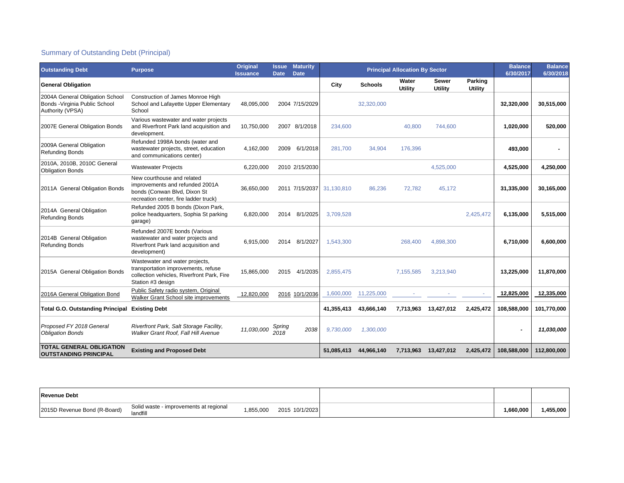## Summary of Outstanding Debt (Principal)

| <b>Outstanding Debt</b>                                                               | <b>Purpose</b>                                                                                                                           | <b>Original</b><br><b>Issuance</b> | <b>Issue</b><br><b>Date</b> | <b>Maturity</b><br><b>Date</b> |            | <b>Principal Allocation By Sector</b> | <b>Balance</b><br>6/30/2017 | <b>Balance</b><br>6/30/2018 |                                  |             |             |
|---------------------------------------------------------------------------------------|------------------------------------------------------------------------------------------------------------------------------------------|------------------------------------|-----------------------------|--------------------------------|------------|---------------------------------------|-----------------------------|-----------------------------|----------------------------------|-------------|-------------|
| <b>General Obligation</b>                                                             |                                                                                                                                          |                                    |                             |                                | City       | <b>Schools</b>                        | Water<br>Utility            | <b>Sewer</b><br>Utility     | <b>Parking</b><br><b>Utility</b> |             |             |
| 2004A General Obligation School<br>Bonds - Virginia Public School<br>Authority (VPSA) | Construction of James Monroe High<br>School and Lafayette Upper Elementary<br>School                                                     | 48,095,000                         |                             | 2004 7/15/2029                 |            | 32,320,000                            |                             |                             |                                  | 32,320,000  | 30,515,000  |
| 2007E General Obligation Bonds                                                        | Various wastewater and water projects<br>and Riverfront Park land acquisition and<br>development.                                        | 10,750,000                         | 2007                        | 8/1/2018                       | 234,600    |                                       | 40,800                      | 744,600                     |                                  | 1,020,000   | 520,000     |
| 2009A General Obligation<br><b>Refunding Bonds</b>                                    | Refunded 1998A bonds (water and<br>wastewater projects, street, education<br>and communications center)                                  | 4,162,000                          | 2009                        | 6/1/2018                       | 281,700    | 34,904                                | 176,396                     |                             |                                  | 493,000     |             |
| 2010A, 2010B, 2010C General<br><b>Obligation Bonds</b>                                | <b>Wastewater Projects</b>                                                                                                               | 6,220,000                          |                             | 2010 2/15/2030                 |            |                                       |                             | 4,525,000                   |                                  | 4,525,000   | 4,250,000   |
| 2011A General Obligation Bonds                                                        | New courthouse and related<br>improvements and refunded 2001A<br>bonds (Conwan Blvd, Dixon St<br>recreation center, fire ladder truck)   | 36,650,000                         |                             | 2011 7/15/2037                 | 31.130.810 | 86,236                                | 72,782                      | 45.172                      |                                  | 31,335,000  | 30,165,000  |
| 2014A General Obligation<br><b>Refunding Bonds</b>                                    | Refunded 2005 B bonds (Dixon Park,<br>police headquarters, Sophia St parking<br>garage)                                                  | 6,820,000                          | 2014                        | 8/1/2025                       | 3.709.528  |                                       |                             |                             | 2.425.472                        | 6,135,000   | 5,515,000   |
| 2014B General Obligation<br><b>Refunding Bonds</b>                                    | Refunded 2007E bonds (Various<br>wastewater and water projects and<br>Riverfront Park land acquisition and<br>development)               | 6,915,000                          | 2014                        | 8/1/2027                       | 1.543.300  |                                       | 268,400                     | 4.898.300                   |                                  | 6,710,000   | 6,600,000   |
| 2015A General Obligation Bonds                                                        | Wastewater and water projects,<br>transportation improvements, refuse<br>collection vehicles, Riverfront Park, Fire<br>Station #3 design | 15,865,000                         | 2015                        | 4/1/2035                       | 2,855,475  |                                       | 7,155,585                   | 3,213,940                   |                                  | 13,225,000  | 11,870,000  |
| 2016A General Obligation Bond                                                         | Public Safety radio system, Original<br>Walker Grant School site improvements                                                            | 12,820,000                         |                             | 2016 10/1/2036                 | 1,600,000  | 11,225,000                            |                             |                             |                                  | 12,825,000  | 12,335,000  |
| <b>Total G.O. Outstanding Principal</b>                                               | <b>Existing Debt</b>                                                                                                                     |                                    |                             |                                | 41,355,413 | 43,666,140                            | 7,713,963                   | 13,427,012                  | 2,425,472                        | 108,588,000 | 101,770,000 |
| Proposed FY 2018 General<br><b>Obligation Bonds</b>                                   | Riverfront Park, Salt Storage Facility,<br>Walker Grant Roof. Fall Hill Avenue                                                           | 11,030,000                         | Spring<br>2018              | 2038                           | 9,730,000  | 1,300,000                             |                             |                             |                                  |             | 11,030,000  |
| <b>TOTAL GENERAL OBLIGATION</b><br><b>OUTSTANDING PRINCIPAL</b>                       | <b>Existing and Proposed Debt</b>                                                                                                        |                                    |                             |                                | 51.085.413 | 44,966,140                            | 7,713,963                   | 13,427,012                  | 2,425,472                        | 108,588,000 | 112,800,000 |

| <b>Revenue Debt</b>          |                                                    |          |                |          |           |
|------------------------------|----------------------------------------------------|----------|----------------|----------|-----------|
| 2015D Revenue Bond (R-Board) | Solid waste - improvements at regional<br>landfill | .855.000 | 2015 10/1/2023 | ,660,000 | 1,455,000 |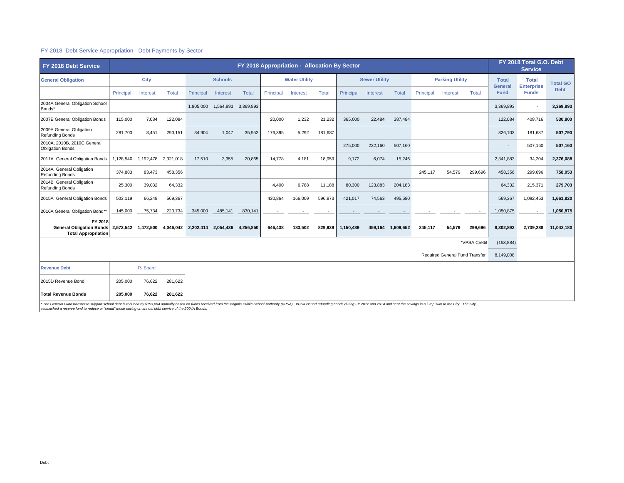#### FY 2018 Debt Service Appropriation - Debt Payments by Sector

| FY 2018 Debt Service                                                     |                     | FY 2018 Appropriation - Allocation By Sector |           |           |                                              |           |           |          |         |                        |          |           |              |                                |                 | FY 2018 Total G.O. Debt<br><b>Service</b> |                                   |             |
|--------------------------------------------------------------------------|---------------------|----------------------------------------------|-----------|-----------|----------------------------------------------|-----------|-----------|----------|---------|------------------------|----------|-----------|--------------|--------------------------------|-----------------|-------------------------------------------|-----------------------------------|-------------|
| <b>General Obligation</b>                                                |                     | City<br><b>Schools</b>                       |           |           | <b>Water Utility</b><br><b>Sewer Utility</b> |           |           |          |         | <b>Parking Utility</b> |          |           | <b>Total</b> | <b>Total</b>                   | <b>Total GO</b> |                                           |                                   |             |
|                                                                          | Principal           | Interest                                     | Total     | Principal | Interest                                     | Total     | Principal | Interest | Total   | Principal              | Interest | Total     | Principal    | Interest                       | Total           | <b>General</b><br><b>Fund</b>             | <b>Enterprise</b><br><b>Funds</b> | <b>Debt</b> |
| 2004A General Obligation School<br>Bonds*                                |                     |                                              |           | 1,805,000 | 1,564,893 3,369,893                          |           |           |          |         |                        |          |           |              |                                |                 | 3,369,893                                 | ٠                                 | 3,369,893   |
| 2007E General Obligation Bonds                                           | 115,000             | 7,084                                        | 122,084   |           |                                              |           | 20,000    | 1,232    | 21,232  | 365,000                | 22,484   | 387,484   |              |                                |                 | 122,084                                   | 408,716                           | 530,800     |
| 2009A General Obligation<br><b>Refunding Bonds</b>                       | 281,700             | 8,451                                        | 290,151   | 34,904    | 1,047                                        | 35,952    | 176,395   | 5,292    | 181,687 |                        |          |           |              |                                |                 | 326,103                                   | 181.687                           | 507,790     |
| 2010A, 2010B, 2010C General<br><b>Obligation Bonds</b>                   |                     |                                              |           |           |                                              |           |           |          |         | 275,000                | 232,160  | 507,160   |              |                                |                 | ٠                                         | 507,160                           | 507,160     |
| 2011A General Obligation Bonds                                           | 1,128,540           | 1,192,478                                    | 2,321,018 | 17,510    | 3,355                                        | 20,865    | 14,778    | 4,181    | 18,959  | 9,172                  | 6,074    | 15,246    |              |                                |                 | 2,341,883                                 | 34,204                            | 2,376,088   |
| 2014A General Obligation<br><b>Refunding Bonds</b>                       | 374,883             | 83,473                                       | 458,356   |           |                                              |           |           |          |         |                        |          |           | 245,117      | 54,579                         | 299,696         | 458,356                                   | 299,696                           | 758,053     |
| 2014B General Obligation<br><b>Refunding Bonds</b>                       | 25,300              | 39,032                                       | 64,332    |           |                                              |           | 4,400     | 6,788    | 11,188  | 80,300                 | 123,883  | 204,183   |              |                                |                 | 64,332                                    | 215,371                           | 279,703     |
| 2015A General Obligation Bonds                                           | 503,119             | 66,248                                       | 569,367   |           |                                              |           | 430,864   | 166,009  | 596,873 | 421,017                | 74,563   | 495,580   |              |                                |                 | 569,367                                   | 1,092,453                         | 1,661,820   |
| 2016A General Obligation Bond*'                                          | 145,000             | 75,734                                       | 220,734   | 345,000   | 485,141                                      | 830,141   |           |          |         |                        |          |           |              |                                | $\sim$          | 1,050,875                                 | $\sim$                            | 1,050,875   |
| FY 2018<br><b>General Obligation Bonds</b><br><b>Total Appropriation</b> | 2,573,542 1,472,500 |                                              | 4,046,042 | 2,202,414 | 2,054,436                                    | 4,256,850 | 646.438   | 183,502  | 829,939 | 1.150.489              | 459.164  | 1,609,652 | 245.117      | 54.579                         | 299,696         | 8,302,892                                 | 2.739.288                         | 11,042,180  |
|                                                                          |                     |                                              |           |           |                                              |           |           |          |         |                        |          |           |              |                                | *VPSA Credit    | (153, 884)                                |                                   |             |
|                                                                          |                     |                                              |           |           |                                              |           |           |          |         |                        |          |           |              | Required General Fund Transfer |                 | 8,149,008                                 |                                   |             |
| <b>Revenue Debt</b>                                                      |                     | R-Board                                      |           |           |                                              |           |           |          |         |                        |          |           |              |                                |                 |                                           |                                   |             |
| 2015D Revenue Bond                                                       | 205,000             | 76,622                                       | 281,622   |           |                                              |           |           |          |         |                        |          |           |              |                                |                 |                                           |                                   |             |
| <b>Total Revenue Bonds</b>                                               | 205,000             | 76,622                                       | 281,622   |           |                                              |           |           |          |         |                        |          |           |              |                                |                 |                                           |                                   |             |

\* The General Fund transfer to support school debt is reduced by \$153,884 annually based on funds received from the Virginia Public School Authority (VPSA). VPSA issued refunding bonds during FY 2012 and 2014 and sent the